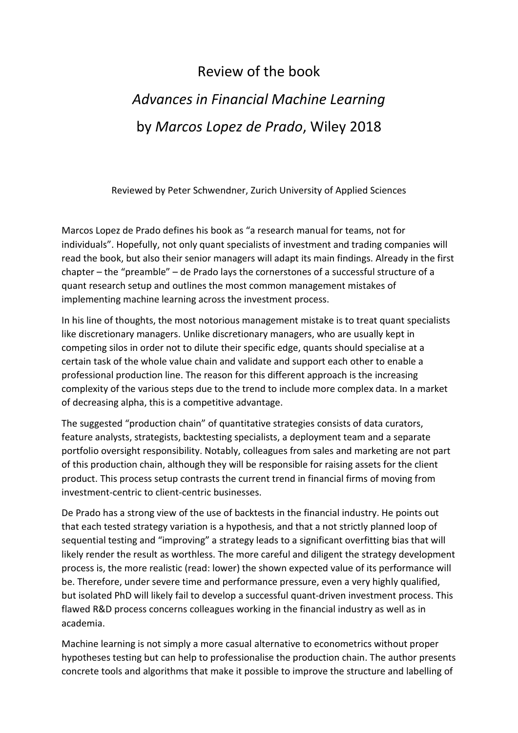## Review of the book

## *Advances in Financial Machine Learning* by *Marcos Lopez de Prado*, Wiley 2018

Reviewed by Peter Schwendner, Zurich University of Applied Sciences

Marcos Lopez de Prado defines his book as "a research manual for teams, not for individuals". Hopefully, not only quant specialists of investment and trading companies will read the book, but also their senior managers will adapt its main findings. Already in the first chapter – the "preamble" – de Prado lays the cornerstones of a successful structure of a quant research setup and outlines the most common management mistakes of implementing machine learning across the investment process.

In his line of thoughts, the most notorious management mistake is to treat quant specialists like discretionary managers. Unlike discretionary managers, who are usually kept in competing silos in order not to dilute their specific edge, quants should specialise at a certain task of the whole value chain and validate and support each other to enable a professional production line. The reason for this different approach is the increasing complexity of the various steps due to the trend to include more complex data. In a market of decreasing alpha, this is a competitive advantage.

The suggested "production chain" of quantitative strategies consists of data curators, feature analysts, strategists, backtesting specialists, a deployment team and a separate portfolio oversight responsibility. Notably, colleagues from sales and marketing are not part of this production chain, although they will be responsible for raising assets for the client product. This process setup contrasts the current trend in financial firms of moving from investment-centric to client-centric businesses.

De Prado has a strong view of the use of backtests in the financial industry. He points out that each tested strategy variation is a hypothesis, and that a not strictly planned loop of sequential testing and "improving" a strategy leads to a significant overfitting bias that will likely render the result as worthless. The more careful and diligent the strategy development process is, the more realistic (read: lower) the shown expected value of its performance will be. Therefore, under severe time and performance pressure, even a very highly qualified, but isolated PhD will likely fail to develop a successful quant-driven investment process. This flawed R&D process concerns colleagues working in the financial industry as well as in academia.

Machine learning is not simply a more casual alternative to econometrics without proper hypotheses testing but can help to professionalise the production chain. The author presents concrete tools and algorithms that make it possible to improve the structure and labelling of